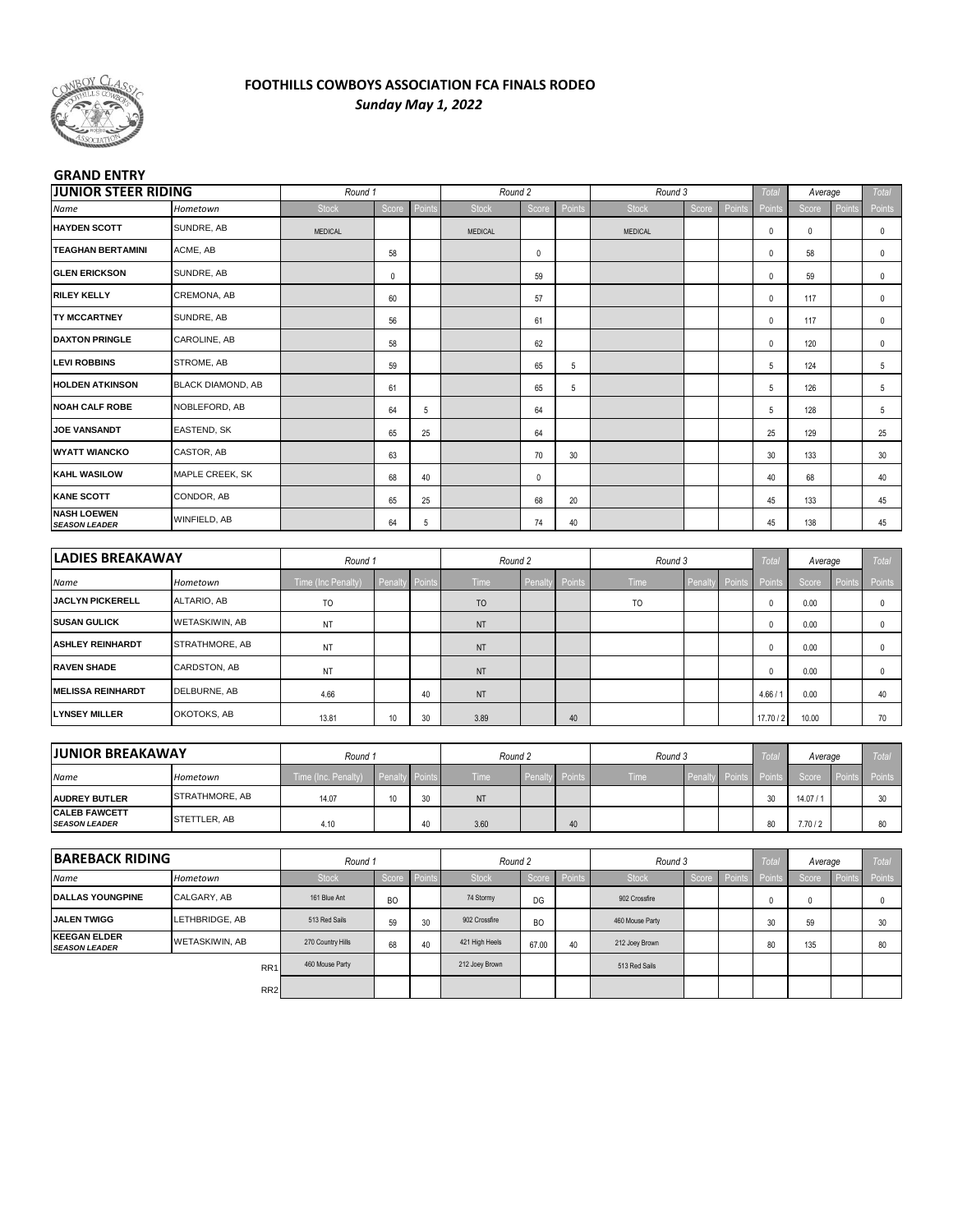

### **FOOTHILLS COWBOYS ASSOCIATION FCA FINALS RODEO** *Sunday May 1, 2022*

#### **GRAND ENTRY**

| <b>JUNIOR STEER RIDING</b><br>Hometown       |                          | Round 1             |           |                                                                                                                                                                                                                                                                                                                                                                                                                           | Round 2        |              |        | Round 3         |              |        | Total        | Average |        | <b>Total</b> |
|----------------------------------------------|--------------------------|---------------------|-----------|---------------------------------------------------------------------------------------------------------------------------------------------------------------------------------------------------------------------------------------------------------------------------------------------------------------------------------------------------------------------------------------------------------------------------|----------------|--------------|--------|-----------------|--------------|--------|--------------|---------|--------|--------------|
| Name                                         |                          | <b>Stock</b>        | Score     | Point                                                                                                                                                                                                                                                                                                                                                                                                                     | Stock          | Score        | Points | <b>Stock</b>    | Score        | Points | Points       | Score   | Points | Points       |
| <b>HAYDEN SCOTT</b>                          | SUNDRE, AB               | MEDICAL             |           |                                                                                                                                                                                                                                                                                                                                                                                                                           | <b>MEDICAL</b> |              |        | <b>MEDICAL</b>  |              |        | 0            | 0       |        | 0            |
| <b>TEAGHAN BERTAMINI</b>                     | ACME, AB                 |                     | 58        |                                                                                                                                                                                                                                                                                                                                                                                                                           |                | 0            |        |                 |              |        | 0            | 58      |        | 0            |
| <b>GLEN ERICKSON</b>                         | SUNDRE, AB               |                     | $\pmb{0}$ |                                                                                                                                                                                                                                                                                                                                                                                                                           |                | 59           |        |                 |              |        | 0            | 59      |        | 0            |
| <b>RILEY KELLY</b>                           | CREMONA, AB              |                     | 60        |                                                                                                                                                                                                                                                                                                                                                                                                                           |                | 57           |        |                 |              |        | 0            | 117     |        | 0            |
| <b>TY MCCARTNEY</b>                          | SUNDRE, AB               |                     | 56        |                                                                                                                                                                                                                                                                                                                                                                                                                           |                | 61           |        |                 |              |        | 0            | 117     |        | 0            |
| <b>DAXTON PRINGLE</b>                        | CAROLINE, AB             |                     | 58        |                                                                                                                                                                                                                                                                                                                                                                                                                           |                | 62           |        |                 |              |        | 0            | 120     |        | 0            |
| <b>LEVI ROBBINS</b>                          | STROME, AB               |                     | 59        |                                                                                                                                                                                                                                                                                                                                                                                                                           |                | 65           | 5      |                 |              |        | 5            | 124     |        | 5            |
| <b>HOLDEN ATKINSON</b>                       | <b>BLACK DIAMOND, AB</b> |                     | 61        |                                                                                                                                                                                                                                                                                                                                                                                                                           |                | 65           | 5      |                 |              |        | $\sqrt{5}$   | 126     |        | 5            |
| <b>NOAH CALF ROBE</b>                        | NOBLEFORD, AB            |                     | 64        | 5                                                                                                                                                                                                                                                                                                                                                                                                                         |                | 64           |        |                 |              |        | 5            | 128     |        | 5            |
| <b>JOE VANSANDT</b>                          | EASTEND, SK              |                     | 65        | 25                                                                                                                                                                                                                                                                                                                                                                                                                        |                | 64           |        |                 |              |        | 25           | 129     |        | 25           |
| <b>WYATT WIANCKO</b>                         | CASTOR, AB               |                     | 63        |                                                                                                                                                                                                                                                                                                                                                                                                                           |                | 70           | 30     |                 |              |        | 30           | 133     |        | 30           |
| <b>KAHL WASILOW</b>                          | MAPLE CREEK, SK          |                     | 68        | 40                                                                                                                                                                                                                                                                                                                                                                                                                        |                | 0            |        |                 |              |        | 40           | 68      |        | 40           |
| <b>KANE SCOTT</b>                            | CONDOR, AB               |                     | 65        | 25                                                                                                                                                                                                                                                                                                                                                                                                                        |                | 68           | 20     |                 |              |        | 45           | 133     |        | 45           |
| <b>NASH LOEWEN</b><br><b>SEASON LEADER</b>   | WINFIELD, AB             |                     | 64        | 5                                                                                                                                                                                                                                                                                                                                                                                                                         |                | 74           | 40     |                 |              |        | 45           | 138     |        | 45           |
|                                              |                          |                     |           |                                                                                                                                                                                                                                                                                                                                                                                                                           |                |              |        |                 |              |        |              |         |        |              |
| <b>LADIES BREAKAWAY</b>                      |                          | Round 1             |           |                                                                                                                                                                                                                                                                                                                                                                                                                           | Round 2        |              |        | Round 3         |              |        | Total        | Average |        | <b>Total</b> |
| Name                                         | Hometown                 | Time (Inc Penalty)  | Penalt    | Point                                                                                                                                                                                                                                                                                                                                                                                                                     | Time           | Penalt       | Points | Time            | Penalt       | Points | Point        | Score   | Point  | Points       |
| <b>JACLYN PICKERELL</b>                      | ALTARIO, AB              | TO                  |           |                                                                                                                                                                                                                                                                                                                                                                                                                           | T <sub>O</sub> |              |        | TO              |              |        | 0            | 0.00    |        | 0            |
| <b>SUSAN GULICK</b>                          | WETASKIWIN, AB           | NT                  |           |                                                                                                                                                                                                                                                                                                                                                                                                                           | <b>NT</b>      |              |        |                 |              |        | 0            | 0.00    |        | 0            |
| <b>ASHLEY REINHARDT</b>                      | STRATHMORE, AB           | NT                  |           |                                                                                                                                                                                                                                                                                                                                                                                                                           | <b>NT</b>      |              |        |                 |              |        | 0            | 0.00    |        | 0            |
| <b>RAVEN SHADE</b>                           | CARDSTON, AB             | NT                  |           |                                                                                                                                                                                                                                                                                                                                                                                                                           | NT             |              |        |                 |              |        | 0            | 0.00    |        | 0            |
| <b>MELISSA REINHARDT</b>                     | DELBURNE, AB             | 4.66                |           | 40                                                                                                                                                                                                                                                                                                                                                                                                                        | <b>NT</b>      |              |        |                 |              |        | 4.66/1       | 0.00    |        | 40           |
| <b>LYNSEY MILLER</b>                         | OKOTOKS, AB              | 13.81               | 10        | 30                                                                                                                                                                                                                                                                                                                                                                                                                        | 3.89           |              | 40     |                 |              |        | 17.70 / 2    | 10.00   |        | 70           |
|                                              |                          |                     |           |                                                                                                                                                                                                                                                                                                                                                                                                                           |                |              |        |                 |              |        |              |         |        |              |
| <b>JUNIOR BREAKAWAY</b>                      |                          | Round 1             |           |                                                                                                                                                                                                                                                                                                                                                                                                                           | Round 2        |              |        | Round 3         |              |        | <b>Total</b> | Average |        | <b>Total</b> |
| Name                                         | Hometown                 | Time (Inc. Penalty) | Penalt    | Point                                                                                                                                                                                                                                                                                                                                                                                                                     | Time           | Penalty      | Points | Time            | Penalt       | Points | <b>Point</b> | Score   | Points | Points       |
| <b>AUDREY BUTLER</b>                         | STRATHMORE, AB           | 14.07               | 10        | 30                                                                                                                                                                                                                                                                                                                                                                                                                        | <b>NT</b>      |              |        |                 |              |        | 30           | 14.07/1 |        | 30           |
| <b>CALEB FAWCETT</b><br><b>SEASON LEADER</b> | STETTLER, AB             | 4.10                |           | 40                                                                                                                                                                                                                                                                                                                                                                                                                        | 3.60           |              | 40     |                 |              |        | 80           | 7.70/2  |        | 80           |
| <b>BAREBACK RIDING</b>                       |                          | Round 1             |           |                                                                                                                                                                                                                                                                                                                                                                                                                           | Round 2        |              |        | Round 3         |              |        | Total        | Average |        | <b>Total</b> |
| Name                                         | Hometown                 | Stock               | Score     | $\sqrt{\frac{1}{1-\frac{1}{1-\frac{1}{1-\frac{1}{1-\frac{1}{1-\frac{1}{1-\frac{1}{1-\frac{1}{1-\frac{1}{1-\frac{1}{1-\frac{1}{1-\frac{1}{1-\frac{1}{1-\frac{1}{1-\frac{1}{1-\frac{1}{1-\frac{1}{1-\frac{1}{1-\frac{1}{1-\frac{1}{1-\frac{1}{1-\frac{1}{1-\frac{1}{1-\frac{1}{1-\frac{1}{1-\frac{1}{1-\frac{1}{1-\frac{1}{1-\frac{1}{1-\frac{1}{1-\frac{1}{1-\frac{1}{1-\frac{1}{1-\frac{1}{1-\frac{1}{1-\frac{1}{1-\frac$ | Stock          | Score Points |        | Stock           | Score Points |        |              | Score   | Point  | Points       |
| <b>DALLAS YOUNGPINE</b>                      | CALGARY, AB              | 161 Blue Ant        | BO        |                                                                                                                                                                                                                                                                                                                                                                                                                           | 74 Stormy      | DG           |        | 902 Crossfire   |              |        | 0            | 0       |        | 0            |
| <b>JALEN TWIGG</b>                           | LETHBRIDGE, AB           | 513 Red Sails       | 59        | 30                                                                                                                                                                                                                                                                                                                                                                                                                        | 902 Crossfire  | <b>BO</b>    |        | 460 Mouse Party |              |        | 30           | 59      |        | 30           |
| <b>KEEGAN ELDER</b><br><b>SEASON LEADER</b>  | WETASKIWIN, AB           | 270 Country Hills   | 68        | 40                                                                                                                                                                                                                                                                                                                                                                                                                        | 421 High Heels | 67.00        | 40     | 212 Joey Brown  |              |        | 80           | 135     |        | 80           |
|                                              | RR1                      | 460 Mouse Party     |           |                                                                                                                                                                                                                                                                                                                                                                                                                           | 212 Joey Brown |              |        | 513 Red Sails   |              |        |              |         |        |              |
|                                              | RR <sub>2</sub>          |                     |           |                                                                                                                                                                                                                                                                                                                                                                                                                           |                |              |        |                 |              |        |              |         |        |              |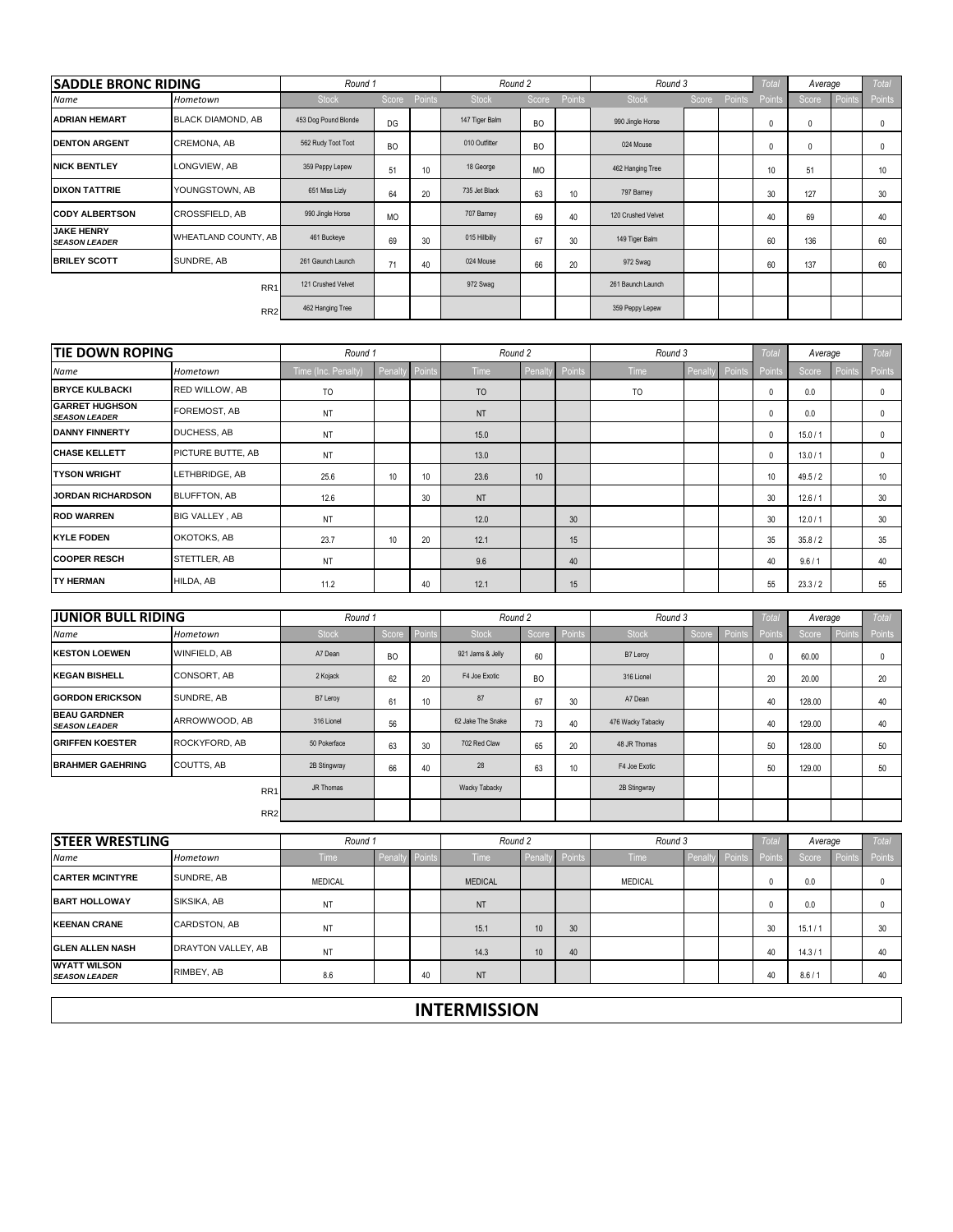| <b>SADDLE BRONC RIDING</b>                    |                          | Round 1              |           |                 | Round 2        |                 |                 | Round 3            |        |        | <b>Total</b> | Average      |        | <b>Total</b>  |
|-----------------------------------------------|--------------------------|----------------------|-----------|-----------------|----------------|-----------------|-----------------|--------------------|--------|--------|--------------|--------------|--------|---------------|
| Name                                          | Hometown                 | <b>Stock</b>         | Score     | Points          | <b>Stock</b>   | Score           | Points          | <b>Stock</b>       | Score  | Points | Points       | Score        | Points | Points        |
| <b>ADRIAN HEMART</b>                          | <b>BLACK DIAMOND, AB</b> | 453 Dog Pound Blonde | DG        |                 | 147 Tiger Balm | <b>BO</b>       |                 | 990 Jingle Horse   |        |        | $\mathbf{0}$ | $\Omega$     |        | 0             |
| <b>DENTON ARGENT</b>                          | <b>CREMONA, AB</b>       | 562 Rudy Toot Toot   | <b>BO</b> |                 | 010 Outfitter  | <b>BO</b>       |                 | 024 Mouse          |        |        | $\mathbf{0}$ | $\mathbf{0}$ |        | $\mathbf 0$   |
| <b>NICK BENTLEY</b>                           | LONGVIEW, AB             | 359 Peppy Lepew      | 51        | 10 <sup>°</sup> | 18 George      | <b>MO</b>       |                 | 462 Hanging Tree   |        |        | 10           | 51           |        | 10            |
| <b>DIXON TATTRIE</b>                          | YOUNGSTOWN, AB           | 651 Miss Lizly       | 64        | 20              | 735 Jet Black  | 63              | 10 <sup>°</sup> | 797 Barney         |        |        | 30           | 127          |        | 30            |
| <b>CODY ALBERTSON</b>                         | CROSSFIELD, AB           | 990 Jingle Horse     | <b>MO</b> |                 | 707 Barney     | 69              | 40              | 120 Crushed Velvet |        |        | 40           | 69           |        | 40            |
| <b>JAKE HENRY</b><br><b>SEASON LEADER</b>     | WHEATLAND COUNTY, AB     | 461 Buckeye          | 69        | 30              | 015 Hillbilly  | 67              | 30 <sup>°</sup> | 149 Tiger Balm     |        |        | 60           | 136          |        | 60            |
| <b>BRILEY SCOTT</b>                           | SUNDRE, AB               | 261 Gaunch Launch    | 71        | 40              | 024 Mouse      | 66              | 20              | 972 Swag           |        |        | 60           | 137          |        | 60            |
|                                               | RR <sub>1</sub>          | 121 Crushed Velvet   |           |                 | 972 Swag       |                 |                 | 261 Baunch Launch  |        |        |              |              |        |               |
|                                               | RR <sub>2</sub>          | 462 Hanging Tree     |           |                 |                |                 |                 | 359 Peppy Lepew    |        |        |              |              |        |               |
|                                               |                          |                      |           |                 |                |                 |                 |                    |        |        |              |              |        |               |
| <b>TIE DOWN ROPING</b>                        |                          | Round 1              |           |                 | Round 2        |                 |                 | Round 3            |        |        | Total        | Average      |        | Total         |
| Name                                          | Hometown                 | Time (Inc. Penalty)  | Penalt    | Points          | Time           | Penalt          | Points          | <b>Time</b>        | Penalt | Points | Points       | Score        | Points | <b>Points</b> |
| <b>BRYCE KULBACKI</b>                         | RED WILLOW, AB           | T <sub>O</sub>       |           |                 | <b>TO</b>      |                 |                 | T <sub>O</sub>     |        |        | $\mathbf 0$  | 0.0          |        | 0             |
| <b>GARRET HUGHSON</b><br><b>SEASON LEADER</b> | FOREMOST, AB             | NT                   |           |                 | <b>NT</b>      |                 |                 |                    |        |        | $\mathbf 0$  | 0.0          |        | 0             |
| <b>DANNY FINNERTY</b>                         | <b>DUCHESS, AB</b>       | NT                   |           |                 | 15.0           |                 |                 |                    |        |        | $\mathbf 0$  | 15.0/1       |        | 0             |
| <b>CHASE KELLETT</b>                          | PICTURE BUTTE, AB        | NT                   |           |                 | 13.0           |                 |                 |                    |        |        | $\mathbf{0}$ | 13.0 / 1     |        | $\mathbf{0}$  |
| <b>TYSON WRIGHT</b>                           | LETHBRIDGE, AB           | 25.6                 | 10        | 10              | 23.6           | 10 <sup>°</sup> |                 |                    |        |        | 10           | 49.5/2       |        | 10            |
|                                               |                          |                      |           |                 |                |                 |                 |                    |        |        |              |              |        |               |

| CHASE KELLETT            | <b>PICTURE BUTTE, AB</b> | NT   |    |    | 13.0      |    |                 |  |    | 13.0/1 |    |
|--------------------------|--------------------------|------|----|----|-----------|----|-----------------|--|----|--------|----|
| <b>TYSON WRIGHT</b>      | LETHBRIDGE, AB           | 25.6 | 10 | 10 | 23.6      | 10 |                 |  | 10 | 49.5/2 |    |
| <b>JORDAN RICHARDSON</b> | <b>BLUFFTON, AB</b>      | 12.6 |    | 30 | <b>NT</b> |    |                 |  | 30 | 12.6/1 | 30 |
| ROD WARREN               | <b>BIG VALLEY, AB</b>    | NT   |    |    | 12.0      |    | 30 <sup>°</sup> |  | 30 | 12.0/1 | 20 |
| <b>KYLE FODEN</b>        | OKOTOKS, AB              | 23.7 | 10 | 20 | 12.1      |    | 15              |  | 35 | 35.8/2 | 35 |
| <b>COOPER RESCH</b>      | STETTLER, AB             | NT   |    |    | 9.6       |    | 40              |  | 40 | 9.6/1  | 40 |
| <b>TY HERMAN</b>         | HILDA, AB                | 11.2 |    | 40 | 12.1      |    | 15              |  | 55 | 23.3/2 | 55 |

| <b>JUNIOR BULL RIDING</b>                   |                     | Round 1      |           |        | Round 2           |           |        | Round 3           |       |        | Tota   | Average |        | Total  |
|---------------------------------------------|---------------------|--------------|-----------|--------|-------------------|-----------|--------|-------------------|-------|--------|--------|---------|--------|--------|
| Name                                        | Hometown            | <b>Stock</b> | Score     | Points | <b>Stock</b>      | Score     | Points | <b>Stock</b>      | Score | Points | Points | Score   | Points | Points |
| <b>KESTON LOEWEN</b>                        | <b>WINFIELD, AB</b> | A7 Dean      | <b>BO</b> |        | 921 Jams & Jelly  | 60        |        | B7 Leroy          |       |        | 0      | 60.00   |        |        |
| <b>KEGAN BISHELL</b>                        | CONSORT, AB         | 2 Kojack     | 62        | 20     | F4 Joe Exotic     | <b>BO</b> |        | 316 Lionel        |       |        | 20     | 20.00   |        | 20     |
| <b>GORDON ERICKSON</b>                      | SUNDRE, AB          | B7 Leroy     | 61        | 10     | 87                | 67        | 30     | A7 Dean           |       |        | 40     | 128.00  |        | 40     |
| <b>BEAU GARDNER</b><br><b>SEASON LEADER</b> | ARROWWOOD, AB       | 316 Lionel   | 56        |        | 62 Jake The Snake | 73        | 40     | 476 Wacky Tabacky |       |        | 40     | 129.00  |        | 40     |
| <b>GRIFFEN KOESTER</b>                      | ROCKYFORD, AB       | 50 Pokerface | 63        | 30     | 702 Red Claw      | 65        | 20     | 48 JR Thomas      |       |        | 50     | 128.00  |        | 50     |
| <b>BRAHMER GAEHRING</b>                     | <b>COUTTS, AB</b>   | 2B Stingwray | 66        | 40     | 28                | 63        | 10     | F4 Joe Exotic     |       |        | 50     | 129.00  |        | 50     |
|                                             | RR <sub>1</sub>     | JR Thomas    |           |        | Wacky Tabacky     |           |        | 2B Stingwray      |       |        |        |         |        |        |
|                                             | RR <sub>2</sub>     |              |           |        |                   |           |        |                   |       |        |        |         |        |        |

| <b>STEER WRESTLING</b>                      |                           | Round 1        |        |        | Round 2        |                  |    | Round 3        |                       | Total  | Average |        | Total  |
|---------------------------------------------|---------------------------|----------------|--------|--------|----------------|------------------|----|----------------|-----------------------|--------|---------|--------|--------|
| Name                                        | Hometown                  | <b>Time</b>    | Penalt | Points | <b>Time</b>    | Penalty Points   |    | <b>Time</b>    | <b>Penalty</b> Points | Points | Score   | Points | Points |
| <b>CARTER MCINTYRE</b>                      | SUNDRE, AB                | <b>MEDICAL</b> |        |        | <b>MEDICAL</b> |                  |    | <b>MEDICAL</b> |                       | 0      | 0.0     |        |        |
| <b>BART HOLLOWAY</b>                        | SIKSIKA, AB               | NT             |        |        | <b>NT</b>      |                  |    |                |                       | 0      | 0.0     |        |        |
| <b>KEENAN CRANE</b>                         | CARDSTON, AB              | NT             |        |        | 15.1           | 10 <sup>°</sup>  | 30 |                |                       | 30     | 15.1/1  |        | 30     |
| <b>GLEN ALLEN NASH</b>                      | <b>DRAYTON VALLEY, AB</b> | NT             |        |        | 14.3           | 10 <sup>10</sup> | 40 |                |                       | 40     | 14.3/1  |        | 40     |
| <b>WYATT WILSON</b><br><b>SEASON LEADER</b> | RIMBEY, AB                | 8.6            |        | 40     | <b>NT</b>      |                  |    |                |                       | 40     | 8.6/1   |        | 40     |

## **INTERMISSION**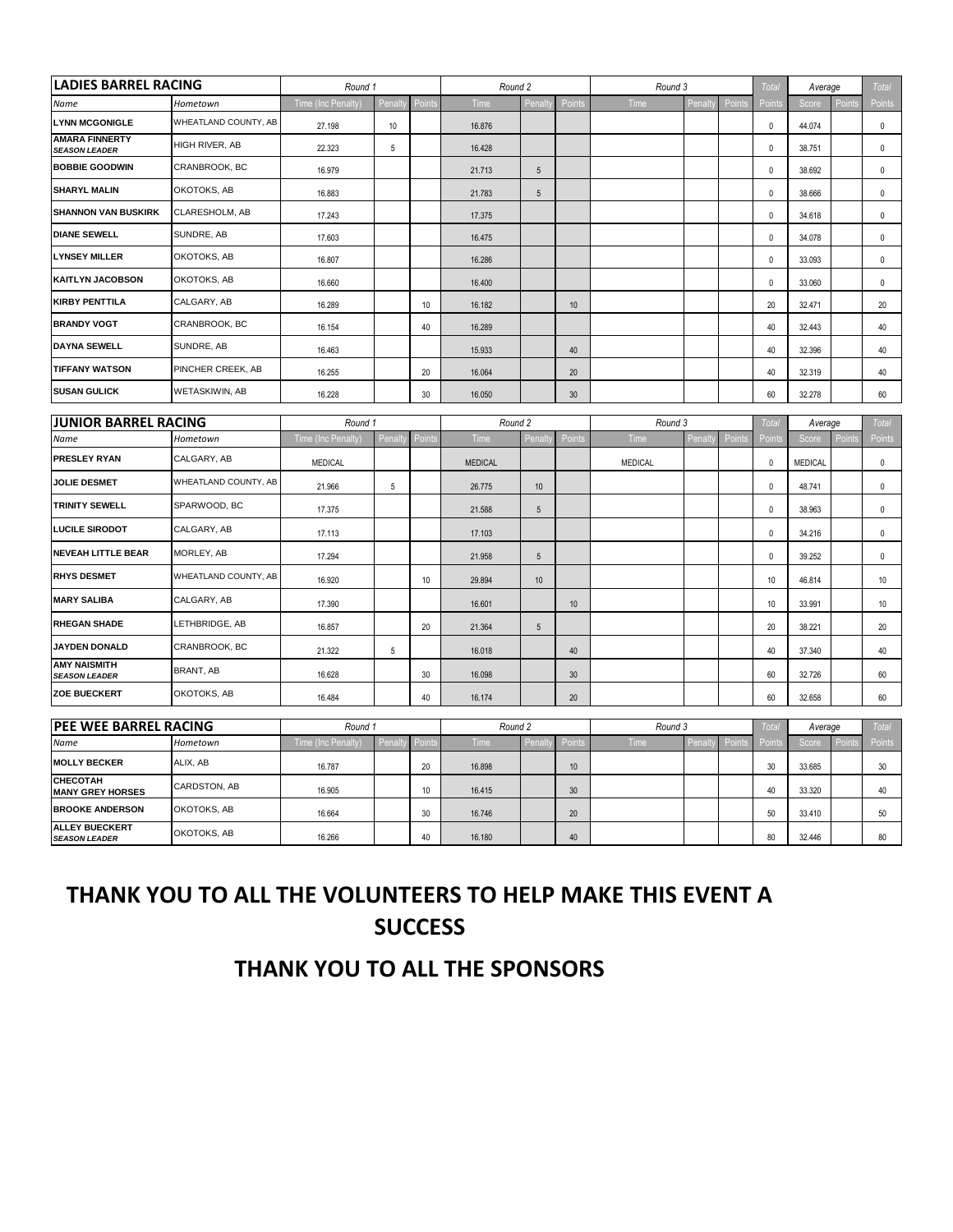| <b>LADIES BARREL RACING</b>                   |                      | Round 1            |                |               | Round 2        |                 |        | Round 3        |         |        | Total        | Average      |        | Total        |
|-----------------------------------------------|----------------------|--------------------|----------------|---------------|----------------|-----------------|--------|----------------|---------|--------|--------------|--------------|--------|--------------|
| Name                                          | Hometown             | Time (Inc Penalty) | Penalt         | Point         | Time           | Penalty         | Points | Time           | Penalt  | Points | Points       | Score        | Points | Points       |
| <b>LYNN MCGONIGLE</b>                         | WHEATLAND COUNTY, AB | 27.198             | 10             |               | 16.876         |                 |        |                |         |        | $\mathbf 0$  | 44.074       |        | $\mathbf 0$  |
| <b>AMARA FINNERTY</b><br><b>SEASON LEADER</b> | HIGH RIVER, AB       | 22.323             | 5              |               | 16.428         |                 |        |                |         |        | $\mathbf 0$  | 38.751       |        | $\mathbf 0$  |
| <b>BOBBIE GOODWIN</b>                         | CRANBROOK, BC        | 16.979             |                |               | 21.713         | 5               |        |                |         |        | 0            | 38.692       |        | 0            |
| <b>SHARYL MALIN</b>                           | OKOTOKS, AB          | 16.883             |                |               | 21.783         | $\sqrt{5}$      |        |                |         |        | $\mathbf 0$  | 38.666       |        | $\mathbf 0$  |
| <b>SHANNON VAN BUSKIRK</b>                    | CLARESHOLM, AB       | 17.243             |                |               | 17.375         |                 |        |                |         |        | 0            | 34.618       |        | 0            |
| <b>DIANE SEWELL</b>                           | SUNDRE, AB           | 17.603             |                |               | 16.475         |                 |        |                |         |        | $\mathbf 0$  | 34.078       |        | $\mathbf 0$  |
| <b>LYNSEY MILLER</b>                          | OKOTOKS, AB          | 16.807             |                |               | 16.286         |                 |        |                |         |        | $\mathbf 0$  | 33.093       |        | $\mathbf 0$  |
| <b>KAITLYN JACOBSON</b>                       | OKOTOKS, AB          | 16,660             |                |               | 16.400         |                 |        |                |         |        | $\mathbf 0$  | 33,060       |        | $\mathbf 0$  |
| <b>KIRBY PENTTILA</b>                         | CALGARY, AB          | 16.289             |                | 10            | 16.182         |                 | 10     |                |         |        | 20           | 32.471       |        | 20           |
| <b>BRANDY VOGT</b>                            | CRANBROOK, BC        | 16.154             |                | 40            | 16.289         |                 |        |                |         |        | 40           | 32.443       |        | 40           |
| <b>DAYNA SEWELL</b>                           | SUNDRE, AB           | 16.463             |                |               | 15.933         |                 | 40     |                |         |        | 40           | 32.396       |        | 40           |
| <b>TIFFANY WATSON</b>                         | PINCHER CREEK, AB    | 16.255             |                | 20            | 16.064         |                 | 20     |                |         |        | 40           | 32.319       |        | 40           |
| <b>SUSAN GULICK</b>                           | WETASKIWIN, AB       | 16.228             |                | 30            | 16.050         |                 | 30     |                |         |        | 60           | 32.278       |        | 60           |
| <b>JUNIOR BARREL RACING</b>                   |                      | Round 1            |                |               | Round 2        |                 |        | Round 3        |         |        | Total        | Average      |        | Total        |
| Name                                          | Hometown             | Time (Inc Penalty) | Penalt         | Point         | Time           | Penalty         | Points | Time           | Penalt  | Points | Points       | Score        | Points | Points       |
| PRESLEY RYAN                                  | CALGARY, AB          | <b>MEDICAL</b>     |                |               | <b>MEDICAL</b> |                 |        | <b>MEDICAL</b> |         |        | $\mathbf 0$  | MEDICAL      |        | $\mathbf 0$  |
| <b>JOLIE DESMET</b>                           | WHEATLAND COUNTY, AB | 21.966             | $\overline{5}$ |               | 26.775         | 10              |        |                |         |        | $\mathbf 0$  | 48.741       |        | $\mathbf 0$  |
| <b>TRINITY SEWELL</b>                         | SPARWOOD, BC         | 17.375             |                |               | 21.588         | $\sqrt{5}$      |        |                |         |        | $\mathbf 0$  | 38.963       |        | $\mathbf 0$  |
| <b>LUCILE SIRODOT</b>                         | CALGARY, AB          | 17.113             |                |               | 17.103         |                 |        |                |         |        | 0            | 34.216       |        | $\mathbf 0$  |
| <b>NEVEAH LITTLE BEAR</b>                     | MORLEY, AB           | 17.294             |                |               | 21.958         | 5               |        |                |         |        | 0            | 39.252       |        | 0            |
| <b>RHYS DESMET</b>                            | WHEATLAND COUNTY, AB | 16.920             |                | 10            | 29.894         | 10              |        |                |         |        | 10           | 46.814       |        | 10           |
| <b>MARY SALIBA</b>                            | CALGARY, AB          | 17.390             |                |               | 16.601         |                 | 10     |                |         |        | 10           | 33.991       |        | 10           |
| <b>RHEGAN SHADE</b>                           | LETHBRIDGE, AB       | 16.857             |                | 20            | 21.364         | $5\phantom{.0}$ |        |                |         |        | 20           | 38.221       |        | 20           |
| <b>JAYDEN DONALD</b>                          | CRANBROOK, BC        | 21.322             | 5              |               | 16.018         |                 | 40     |                |         |        | 40           | 37.340       |        | 40           |
| <b>AMY NAISMITH</b><br><b>SEASON LEADER</b>   | BRANT, AB            | 16.628             |                | 30            | 16.098         |                 | 30     |                |         |        | 60           | 32.726       |        | 60           |
| <b>ZOE BUECKERT</b>                           | OKOTOKS, AB          | 16.484             |                | 40            | 16.174         |                 | 20     |                |         |        | 60           | 32.658       |        | 60           |
| PEE WEE BARREL RACING                         |                      | Round 1            |                |               | Round 2        |                 |        | Round 3        |         |        | <b>Total</b> | Average      |        | <b>Total</b> |
| Name                                          | Hometown             | Time (Inc Penalty) | Penalty        | <b>Points</b> | Time           | Penalty         | Points | Time           | Penalty | Points | Points       | <b>Score</b> | Points | Points       |
| <b>MOLLY BECKER</b>                           | ALIX, AB             | 16.787             |                | 20            | 16.898         |                 | 10     |                |         |        | 30           | 33.685       |        | 30           |
| <b>CHECOTAH</b><br><b>MANY GREY HORSES</b>    | CARDSTON, AB         | 16.905             |                | 10            | 16.415         |                 | $30\,$ |                |         |        | 40           | 33.320       |        | 40           |
| <b>BROOKE ANDERSON</b>                        | OKOTOKS, AB          | 16.664             |                | 30            | 16.746         |                 | 20     |                |         |        | 50           | 33.410       |        | 50           |
| <b>ALLEY BUECKERT</b><br><b>SEASON LEADER</b> | OKOTOKS, AB          | 16.266             |                | 40            | 16.180         |                 | 40     |                |         |        | 80           | 32.446       |        | 80           |

# **THANK YOU TO ALL THE VOLUNTEERS TO HELP MAKE THIS EVENT A SUCCESS**

## **THANK YOU TO ALL THE SPONSORS**